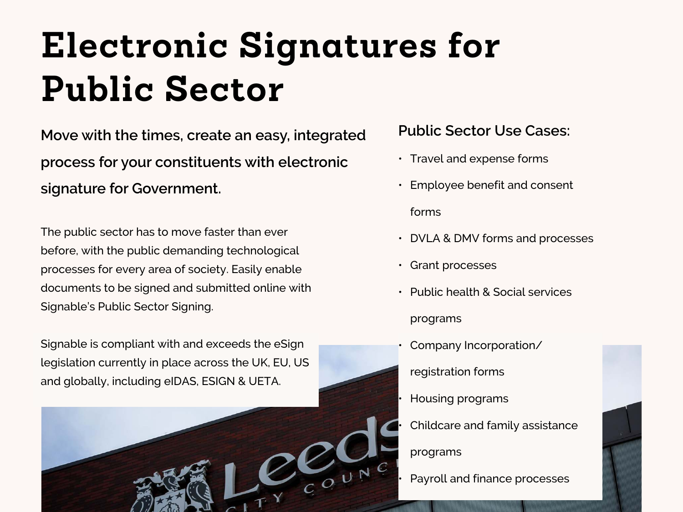# **Electronic Signatures for Public Sector**

**Move with the times, create an easy, integrated process for your constituents with electronic signature for Government.** 

The public sector has to move faster than ever before, with the public demanding technological processes for every area of society. Easily enable documents to be signed and submitted online with Signable's Public Sector Signing.

Signable is compliant with and exceeds the eSign legislation currently in place across the UK, EU, US and globally, including eIDAS, ESIGN & UETA.



#### **Public Sector Use Cases:**

- Travel and expense forms
- Employee benefit and consent

forms

- DVLA & DMV forms and processes
- Grant processes
- Public health & Social services programs
- Company Incorporation/
- registration forms
- Housing programs
- Childcare and family assistance
- programs
- Payroll and finance processes

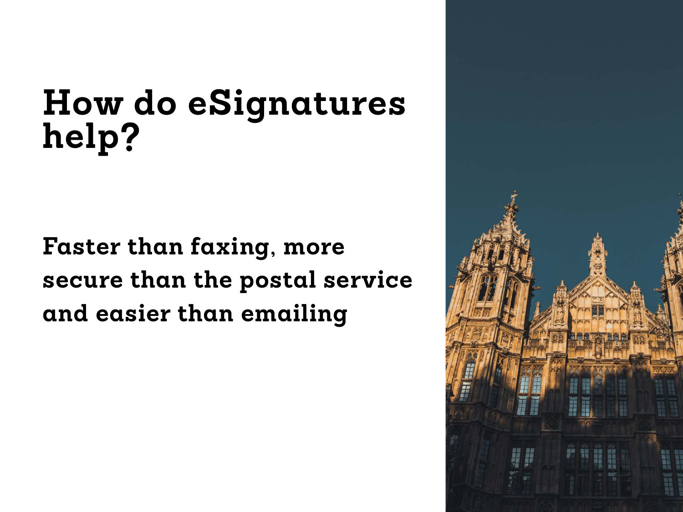# **How do eSignatures help?**

**Faster than faxing, more secure than the postal service and easier than emailing**

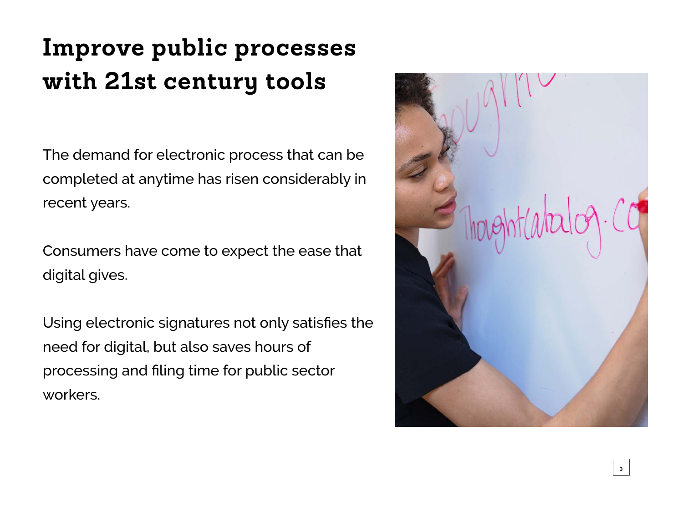### **Improve public processes with 21st century tools**

The demand for electronic process that can be completed at anytime has risen considerably in recent years.

Consumers have come to expect the ease that digital gives.

Using electronic signatures not only satisfies the need for digital, but also saves hours of processing and filing time for public sector workers.

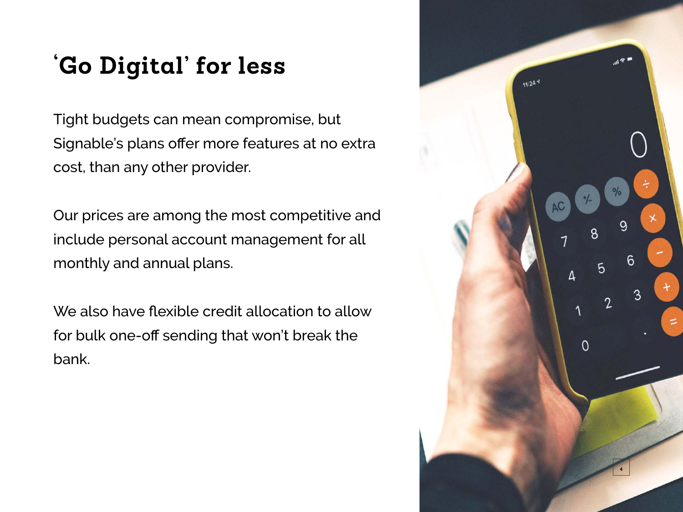#### **'Go Digital' for less**

Tight budgets can mean compromise, but Signable's plans offer more features at no extra cost, than any other provider.

Our prices are among the most competitive and include personal account management for all monthly and annual plans.

We also have flexible credit allocation to allow for bulk one-off sending that won't break the bank.

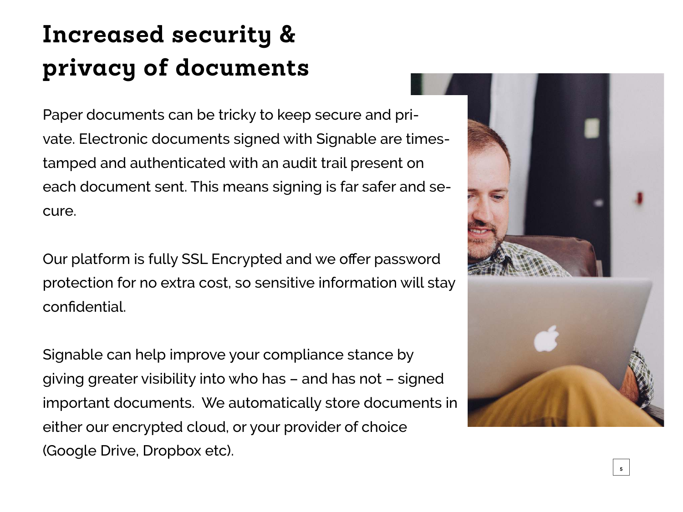### **Increased security & privacy of documents**

Paper documents can be tricky to keep secure and private. Electronic documents signed with Signable are timestamped and authenticated with an audit trail present on each document sent. This means signing is far safer and secure.

Our platform is fully SSL Encrypted and we offer password protection for no extra cost, so sensitive information will stay confidential.

Signable can help improve your compliance stance by giving greater visibility into who has – and has not – signed important documents. We automatically store documents in either our encrypted cloud, or your provider of choice (Google Drive, Dropbox etc).



**5**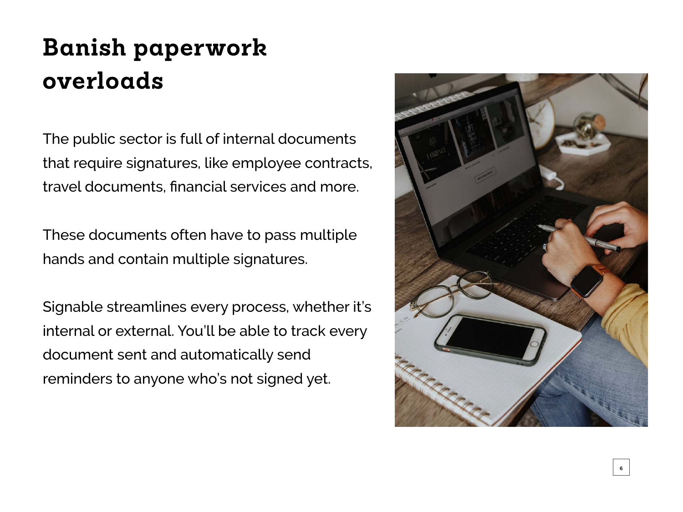#### **Banish paperwork overloads**

The public sector is full of internal documents that require signatures, like employee contracts, travel documents, financial services and more.

These documents often have to pass multiple hands and contain multiple signatures.

Signable streamlines every process, whether it's internal or external. You'll be able to track every document sent and automatically send reminders to anyone who's not signed yet.

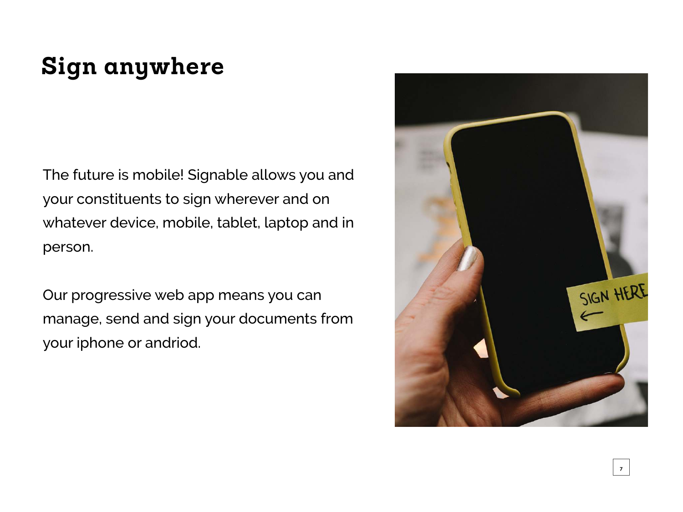#### **Sign anywhere**

The future is mobile! Signable allows you and your constituents to sign wherever and on whatever device, mobile, tablet, laptop and in person.

Our progressive web app means you can manage, send and sign your documents from your iphone or andriod.

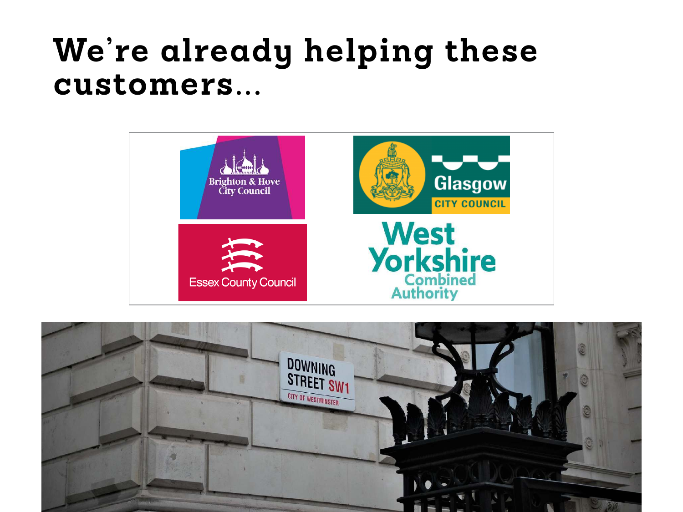## **We're already helping these customers...**